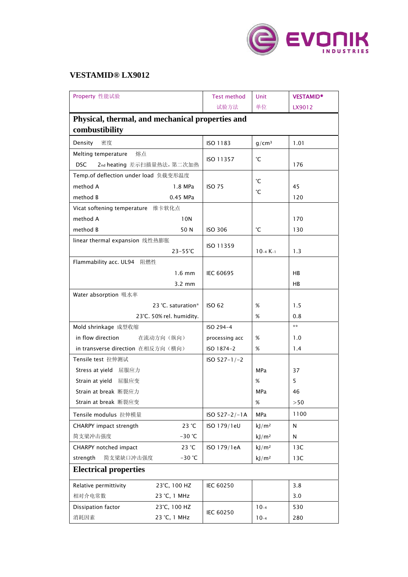

## **VESTAMID® LX9012**

| Property 性能试验                                    | <b>Test method</b> | Unit              | <b>VESTAMID®</b> |  |  |  |
|--------------------------------------------------|--------------------|-------------------|------------------|--|--|--|
|                                                  | 试验方法               | 单位                | LX9012           |  |  |  |
| Physical, thermal, and mechanical properties and |                    |                   |                  |  |  |  |
| combustibility                                   |                    |                   |                  |  |  |  |
| 密度<br>Density                                    | ISO 1183           | q/cm <sup>3</sup> | 1.01             |  |  |  |
| Melting temperature<br>熔点                        |                    |                   |                  |  |  |  |
| <b>DSC</b><br>2nd heating 差示扫描量热法, 第二次加热         | °С<br>ISO 11357    |                   | 176              |  |  |  |
| Temp.of deflection under load 负载变形温度             |                    |                   |                  |  |  |  |
| method A<br>1.8 MPa                              | <b>ISO 75</b>      | °С<br>°С          | 45               |  |  |  |
| method B<br>0.45 MPa                             |                    |                   | 120              |  |  |  |
| Vicat softening temperature 维卡软化点                |                    |                   |                  |  |  |  |
| method A<br>10N                                  |                    |                   | 170              |  |  |  |
| method B<br>50 N                                 | <b>ISO 306</b>     | °С                | 130              |  |  |  |
| linear thermal expansion 线性热膨胀                   |                    |                   |                  |  |  |  |
| $23 - 55^{\circ}C$                               | ISO 11359          | $10 - 4K - 1$     | 1.3              |  |  |  |
| Flammability acc. UL94 阻燃性                       |                    |                   |                  |  |  |  |
| $1.6 \text{ mm}$                                 | <b>IEC 60695</b>   |                   | HB               |  |  |  |
| $3.2 \text{ mm}$                                 |                    |                   | HB               |  |  |  |
| Water absorption 吸水率                             |                    |                   |                  |  |  |  |
| 23 °C. saturation*                               | <b>ISO 62</b>      | $\%$              | 1.5              |  |  |  |
| 23°C. 50% rel. humidity.                         |                    | %                 | 0.8              |  |  |  |
| Mold shrinkage 成型收缩                              | ISO 294-4          |                   | $**$             |  |  |  |
| in flow direction<br>在流动方向(纵向)                   | processing acc     | %                 | 1.0              |  |  |  |
| in transverse direction 在相反方向(横向)                | ISO 1874-2         | $\%$              | 1.4              |  |  |  |
| Tensile test 拉伸测试                                | $ISO 527-1/-2$     |                   |                  |  |  |  |
| Stress at yield 屈服应力                             |                    | MPa               | 37               |  |  |  |
| Strain at yield 屈服应变                             |                    | %                 | 5                |  |  |  |
| Strain at break 断裂应力                             |                    | MPa               | 46               |  |  |  |
| Strain at break 断裂应变                             |                    | %                 | >50              |  |  |  |
| Tensile modulus 拉伸模量                             | $ISO 527 - 2/-1A$  | <b>MPa</b>        | 1100             |  |  |  |
| CHARPY impact strength<br>23 °C                  | ISO 179/1eU        | kJ/m <sup>2</sup> | N                |  |  |  |
| 简支梁冲击强度<br>$-30$ °C                              |                    | kJ/m <sup>2</sup> | N                |  |  |  |
| 23 °C<br>CHARPY notched impact                   | ISO 179/1eA        | kJ/m <sup>2</sup> | 13C              |  |  |  |
| strength<br>简支梁缺口冲击强度<br>$-30$ °C                |                    | kJ/m <sup>2</sup> | 13C              |  |  |  |
| <b>Electrical properties</b>                     |                    |                   |                  |  |  |  |
| Relative permittivity<br>23°C, 100 HZ            | IEC 60250          |                   | 3.8              |  |  |  |
| 相对介电常数<br>23 °C, 1 MHz                           |                    |                   | 3.0              |  |  |  |
| Dissipation factor<br>23°C, 100 HZ               |                    | $10-4$            | 530              |  |  |  |
| 消耗因素<br>23 °C, 1 MHz                             | IEC 60250          | $10-4$            | 280              |  |  |  |